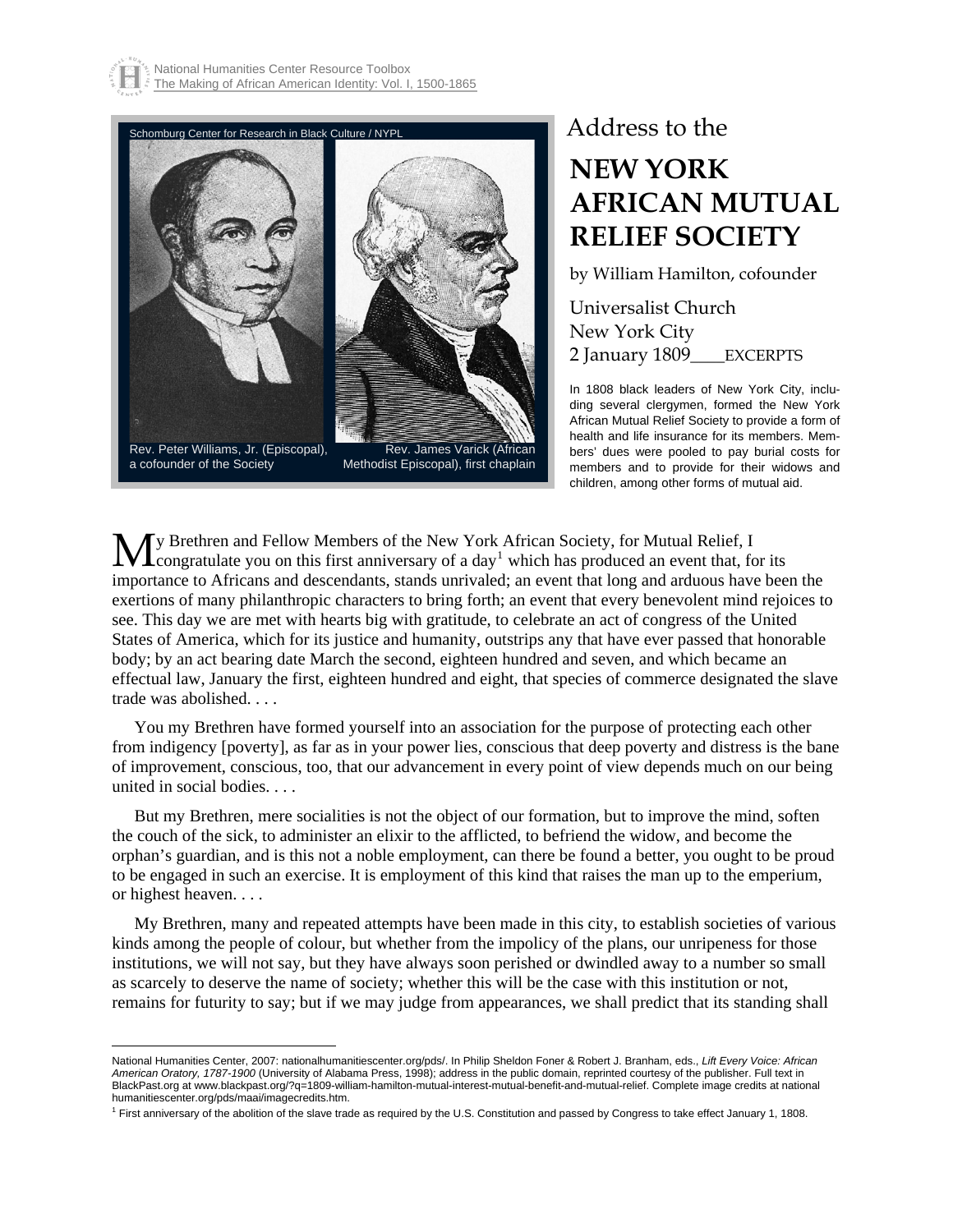

## **NEW YORK AFRICAN MUTUAL RELIEF SOCIETY[\\*](#page-0-0)**

by William Hamilton, cofounder

Universalist Church New York City 2 January 1809 EXCERPTS

In 1808 black leaders of New York City, including several clergymen, formed the New York African Mutual Relief Society to provide a form of health and life insurance for its members. Members' dues were pooled to pay burial costs for members and to provide for their widows and children, among other forms of mutual aid.

y Brethren and Fellow Members of the New York African Society, for Mutual Relief, I My Brethren and Fellow Members of the New York African Society, for Mutual Relief, I<br>congratulate you on this first anniversary of a day<sup>[1](#page-0-1)</sup> which has produced an event that, for its importance to Africans and descendants, stands unrivaled; an event that long and arduous have been the exertions of many philanthropic characters to bring forth; an event that every benevolent mind rejoices to see. This day we are met with hearts big with gratitude, to celebrate an act of congress of the United States of America, which for its justice and humanity, outstrips any that have ever passed that honorable body; by an act bearing date March the second, eighteen hundred and seven, and which became an effectual law, January the first, eighteen hundred and eight, that species of commerce designated the slave trade was abolished. . . .

 You my Brethren have formed yourself into an association for the purpose of protecting each other from indigency [poverty], as far as in your power lies, conscious that deep poverty and distress is the bane of improvement, conscious, too, that our advancement in every point of view depends much on our being united in social bodies. . . .

 But my Brethren, mere socialities is not the object of our formation, but to improve the mind, soften the couch of the sick, to administer an elixir to the afflicted, to befriend the widow, and become the orphan's guardian, and is this not a noble employment, can there be found a better, you ought to be proud to be engaged in such an exercise. It is employment of this kind that raises the man up to the emperium, or highest heaven. . . .

 My Brethren, many and repeated attempts have been made in this city, to establish societies of various kinds among the people of colour, but whether from the impolicy of the plans, our unripeness for those institutions, we will not say, but they have always soon perished or dwindled away to a number so small as scarcely to deserve the name of society; whether this will be the case with this institution or not, remains for futurity to say; but if we may judge from appearances, we shall predict that its standing shall

<span id="page-0-0"></span> $\overline{a}$  National Humanities Center, 2007: nationalhumanitiescenter.org/pds/. In Philip Sheldon Foner & Robert J. Branham, eds., *Lift Every Voice: African American Oratory, 1787-1900* (University of Alabama Press, 1998); address in the public domain, reprinted courtesy of the publisher. Full text in BlackPast.org at www.blackpast.org/?q=1809-william-hamilton-mutual-interest-mutual-benefit-and-mutual-relief. Complete image credits at national humanitiescenter.org/pds/maai/imagecredits.htm. 1

<span id="page-0-1"></span><sup>&</sup>lt;sup>1</sup> First anniversary of the abolition of the slave trade as required by the U.S. Constitution and passed by Congress to take effect January 1, 1808.